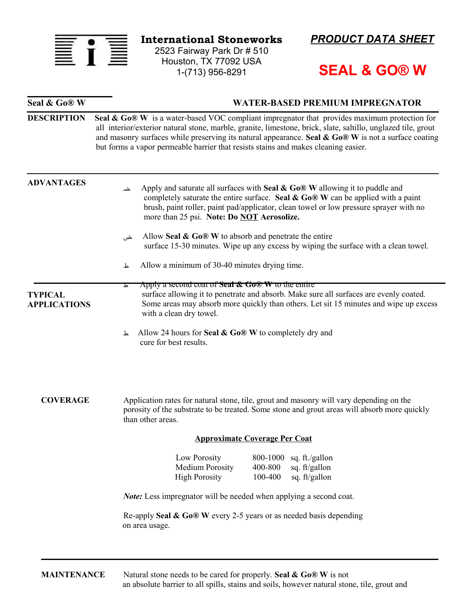

**International Stoneworks**

2523 Fairway Park Dr # 510 Houston, TX 77092 USA 1-(713) 956-8291

**Seal & Go® W WATER-BASED PREMIUM IMPREGNATOR** 



## **SEAL & GO® W**

| <b>DESCRIPTION</b>                    | Seal & Go® W is a water-based VOC compliant impregnator that provides maximum protection for<br>all interior/exterior natural stone, marble, granite, limestone, brick, slate, saltillo, unglazed tile, grout<br>and masonry surfaces while preserving its natural appearance. Seal $\&$ Go® W is not a surface coating<br>but forms a vapor permeable barrier that resists stains and makes cleaning easier. |  |  |
|---------------------------------------|---------------------------------------------------------------------------------------------------------------------------------------------------------------------------------------------------------------------------------------------------------------------------------------------------------------------------------------------------------------------------------------------------------------|--|--|
| <b>ADVANTAGES</b>                     | Apply and saturate all surfaces with Seal $\&$ Go® W allowing it to puddle and<br>خى<br>completely saturate the entire surface. Seal $\&$ Go® W can be applied with a paint<br>brush, paint roller, paint pad/applicator, clean towel or low pressure sprayer with no<br>more than 25 psi. Note: Do NOT Aerosolize.                                                                                           |  |  |
|                                       | Allow Seal $\&$ Go® W to absorb and penetrate the entire<br>خں<br>surface 15-30 minutes. Wipe up any excess by wiping the surface with a clean towel.                                                                                                                                                                                                                                                         |  |  |
|                                       | Allow a minimum of 30-40 minutes drying time.<br>ᆚ                                                                                                                                                                                                                                                                                                                                                            |  |  |
| <b>TYPICAL</b><br><b>APPLICATIONS</b> | Apply a second coat of <b>Seal <math>\hat{\alpha}</math> Go</b> <sup>®</sup> <b>W</b> to the entire<br>দ<br>surface allowing it to penetrate and absorb. Make sure all surfaces are evenly coated.<br>Some areas may absorb more quickly than others. Let sit 15 minutes and wipe up excess<br>with a clean dry towel.                                                                                        |  |  |
|                                       | Allow 24 hours for Seal & Go® W to completely dry and<br>ᆚ<br>cure for best results.                                                                                                                                                                                                                                                                                                                          |  |  |
| <b>COVERAGE</b>                       | Application rates for natural stone, tile, grout and masonry will vary depending on the<br>porosity of the substrate to be treated. Some stone and grout areas will absorb more quickly<br>than other areas.                                                                                                                                                                                                  |  |  |
|                                       | <b>Approximate Coverage Per Coat</b>                                                                                                                                                                                                                                                                                                                                                                          |  |  |
|                                       | Low Porosity<br>800-1000 sq. ft./gallon<br><b>Medium Porosity</b><br>400-800<br>sq. ft/gallon<br>100-400<br><b>High Porosity</b><br>sq. ft/gallon                                                                                                                                                                                                                                                             |  |  |
|                                       | <i>Note:</i> Less impregnator will be needed when applying a second coat.                                                                                                                                                                                                                                                                                                                                     |  |  |
|                                       | Re-apply Seal $\&$ Go® W every 2-5 years or as needed basis depending<br>on area usage.                                                                                                                                                                                                                                                                                                                       |  |  |